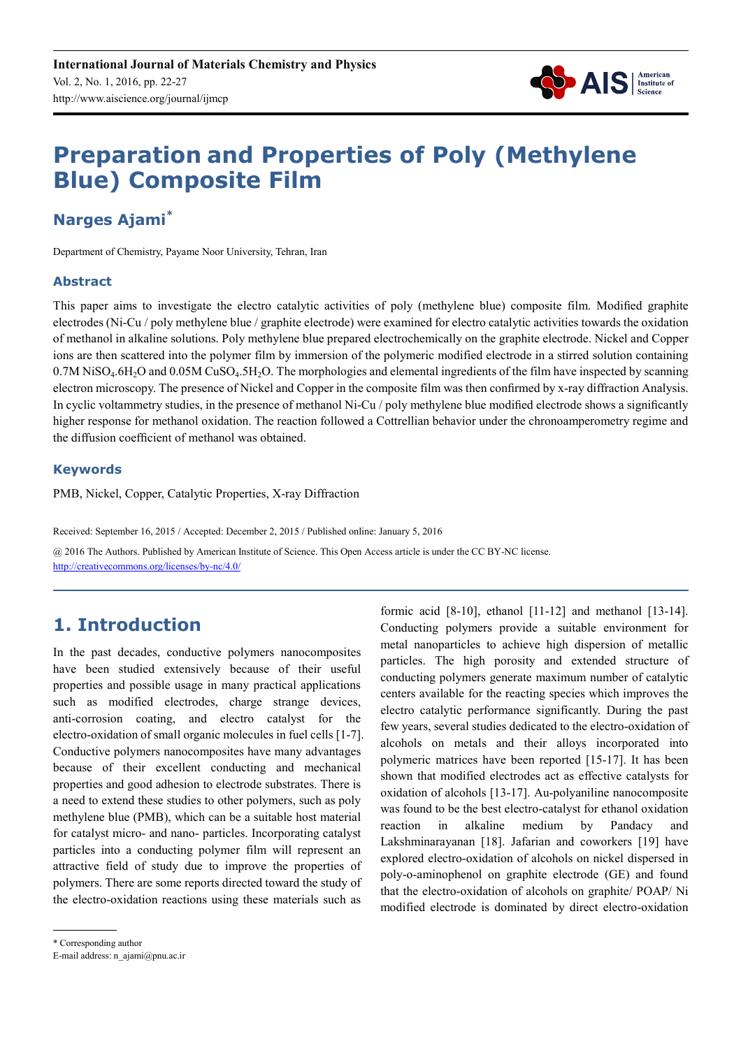

# **Preparation and Properties of Poly (Methylene Blue) Composite Film**

## **Narges Ajami\***

Department of Chemistry, Payame Noor University, Tehran, Iran

#### **Abstract**

This paper aims to investigate the electro catalytic activities of poly (methylene blue) composite film. Modified graphite electrodes (Ni-Cu / poly methylene blue / graphite electrode) were examined for electro catalytic activities towards the oxidation of methanol in alkaline solutions. Poly methylene blue prepared electrochemically on the graphite electrode. Nickel and Copper ions are then scattered into the polymer film by immersion of the polymeric modified electrode in a stirred solution containing  $0.7M$  NiSO<sub>4</sub>.6H<sub>2</sub>O and  $0.05M$  CuSO<sub>4</sub>.5H<sub>2</sub>O. The morphologies and elemental ingredients of the film have inspected by scanning electron microscopy. The presence of Nickel and Copper in the composite film was then confirmed by x-ray diffraction Analysis. In cyclic voltammetry studies, in the presence of methanol Ni-Cu / poly methylene blue modified electrode shows a significantly higher response for methanol oxidation. The reaction followed a Cottrellian behavior under the chronoamperometry regime and the diffusion coefficient of methanol was obtained.

#### **Keywords**

PMB, Nickel, Copper, Catalytic Properties, X-ray Diffraction

Received: September 16, 2015 / Accepted: December 2, 2015 / Published online: January 5, 2016

@ 2016 The Authors. Published by American Institute of Science. This Open Access article is under the CC BY-NC license. http://creativecommons.org/licenses/by-nc/4.0/

## **1. Introduction**

In the past decades, conductive polymers nanocomposites have been studied extensively because of their useful properties and possible usage in many practical applications such as modified electrodes, charge strange devices, anti-corrosion coating, and electro catalyst for the electro-oxidation of small organic molecules in fuel cells [1-7]. Conductive polymers nanocomposites have many advantages because of their excellent conducting and mechanical properties and good adhesion to electrode substrates. There is a need to extend these studies to other polymers, such as poly methylene blue (PMB), which can be a suitable host material for catalyst micro- and nano- particles. Incorporating catalyst particles into a conducting polymer film will represent an attractive field of study due to improve the properties of polymers. There are some reports directed toward the study of the electro-oxidation reactions using these materials such as

formic acid [8-10], ethanol [11-12] and methanol [13-14]. Conducting polymers provide a suitable environment for metal nanoparticles to achieve high dispersion of metallic particles. The high porosity and extended structure of conducting polymers generate maximum number of catalytic centers available for the reacting species which improves the electro catalytic performance significantly. During the past few years, several studies dedicated to the electro-oxidation of alcohols on metals and their alloys incorporated into polymeric matrices have been reported [15-17]. It has been shown that modified electrodes act as effective catalysts for oxidation of alcohols [13-17]. Au-polyaniline nanocomposite was found to be the best electro-catalyst for ethanol oxidation reaction in alkaline medium by Pandacy and Lakshminarayanan [18]. Jafarian and coworkers [19] have explored electro-oxidation of alcohols on nickel dispersed in poly-o-aminophenol on graphite electrode (GE) and found that the electro-oxidation of alcohols on graphite/ POAP/ Ni modified electrode is dominated by direct electro-oxidation

<sup>\*</sup> Corresponding author

E-mail address: n\_ajami@pnu.ac.ir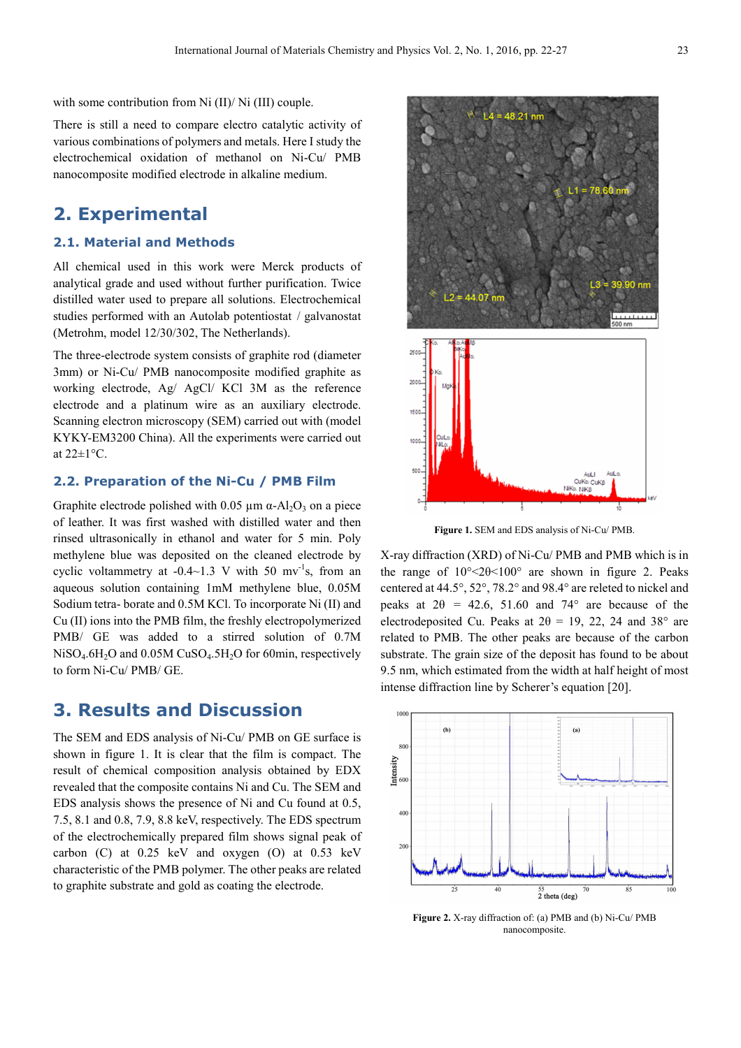with some contribution from Ni (II)/ Ni (III) couple.

There is still a need to compare electro catalytic activity of various combinations of polymers and metals. Here I study the electrochemical oxidation of methanol on Ni-Cu/ PMB nanocomposite modified electrode in alkaline medium.

## **2. Experimental**

#### **2.1. Material and Methods**

All chemical used in this work were Merck products of analytical grade and used without further purification. Twice distilled water used to prepare all solutions. Electrochemical studies performed with an Autolab potentiostat / galvanostat (Metrohm, model 12/30/302, The Netherlands).

The three-electrode system consists of graphite rod (diameter 3mm) or Ni-Cu/ PMB nanocomposite modified graphite as working electrode, Ag/ AgCl/ KCl 3M as the reference electrode and a platinum wire as an auxiliary electrode. Scanning electron microscopy (SEM) carried out with (model KYKY-EM3200 China). All the experiments were carried out at  $22 \pm 1$ °C.

#### **2.2. Preparation of the Ni-Cu / PMB Film**

Graphite electrode polished with 0.05  $\mu$ m  $\alpha$ -Al<sub>2</sub>O<sub>3</sub> on a piece of leather. It was first washed with distilled water and then rinsed ultrasonically in ethanol and water for 5 min. Poly methylene blue was deposited on the cleaned electrode by cyclic voltammetry at  $-0.4{\sim}1.3$  V with 50 mv<sup>-1</sup>s, from an aqueous solution containing 1mM methylene blue, 0.05M Sodium tetra- borate and 0.5M KCl. To incorporate Ni (II) and Cu (II) ions into the PMB film, the freshly electropolymerized PMB/ GE was added to a stirred solution of 0.7M  $NiSO<sub>4</sub>.6H<sub>2</sub>O$  and 0.05M CuSO<sub>4</sub>.5H<sub>2</sub>O for 60min, respectively to form Ni-Cu/ PMB/ GE.

### **3. Results and Discussion**

The SEM and EDS analysis of Ni-Cu/ PMB on GE surface is shown in figure 1. It is clear that the film is compact. The result of chemical composition analysis obtained by EDX revealed that the composite contains Ni and Cu. The SEM and EDS analysis shows the presence of Ni and Cu found at 0.5, 7.5, 8.1 and 0.8, 7.9, 8.8 keV, respectively. The EDS spectrum of the electrochemically prepared film shows signal peak of carbon (C) at 0.25 keV and oxygen (O) at 0.53 keV characteristic of the PMB polymer. The other peaks are related to graphite substrate and gold as coating the electrode.

**Figure 1.** SEM and EDS analysis of Ni-Cu/ PMB. X-ray diffraction (XRD) of Ni-Cu/ PMB and PMB which is in

the range of  $10^{\circ}$  <2 $\theta$  <100 $^{\circ}$  are shown in figure 2. Peaks centered at 44.5°, 52°, 78.2° and 98.4° are releted to nickel and peaks at  $2\theta = 42.6$ , 51.60 and 74° are because of the electrodeposited Cu. Peaks at  $2\theta = 19$ , 22, 24 and 38° are related to PMB. The other peaks are because of the carbon substrate. The grain size of the deposit has found to be about 9.5 nm, which estimated from the width at half height of most intense diffraction line by Scherer's equation [20].



**Figure 2.** X-ray diffraction of: (a) PMB and (b) Ni-Cu/ PMB nanocomposite.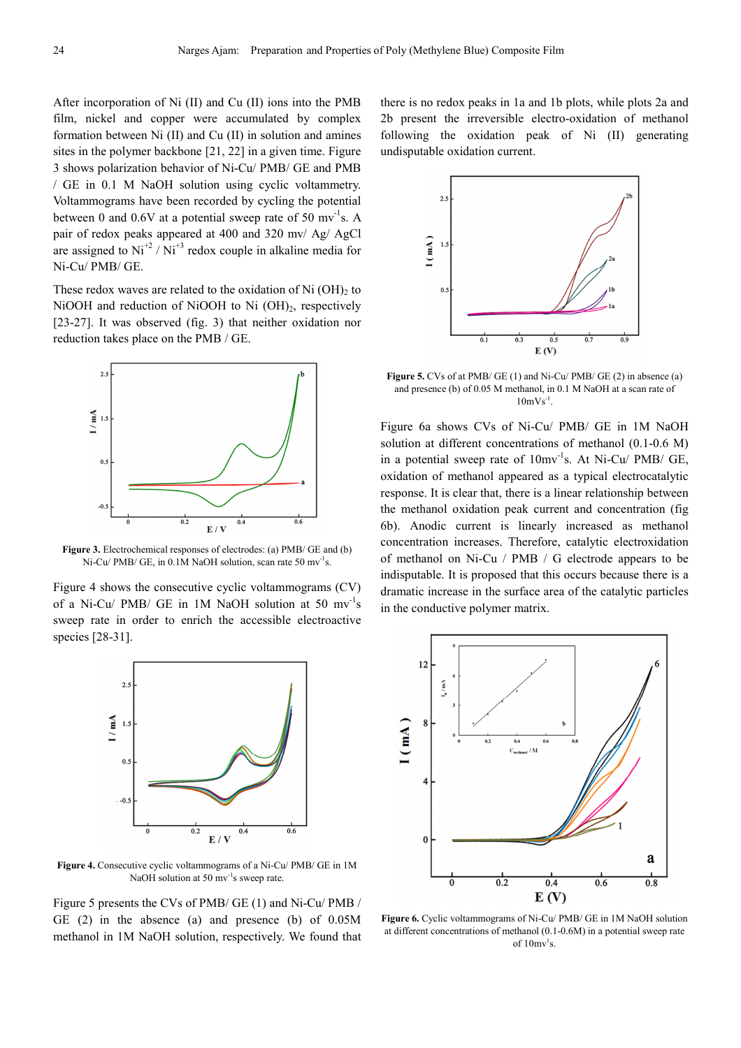After incorporation of Ni (II) and Cu (II) ions into the PMB film, nickel and copper were accumulated by complex formation between Ni (II) and Cu (II) in solution and amines sites in the polymer backbone [21, 22] in a given time. Figure 3 shows polarization behavior of Ni-Cu/ PMB/ GE and PMB / GE in 0.1 M NaOH solution using cyclic voltammetry. Voltammograms have been recorded by cycling the potential between 0 and  $0.6V$  at a potential sweep rate of 50 mv<sup>-1</sup>s. A pair of redox peaks appeared at 400 and 320 mv/ Ag/ AgCl are assigned to  $Ni^{+2} / Ni^{+3}$  redox couple in alkaline media for Ni-Cu/ PMB/ GE.

These redox waves are related to the oxidation of  $Ni$  (OH) $<sub>2</sub>$  to</sub> NiOOH and reduction of NiOOH to Ni (OH)<sub>2</sub>, respectively [23-27]. It was observed (fig. 3) that neither oxidation nor reduction takes place on the PMB / GE.



**Figure 3.** Electrochemical responses of electrodes: (a) PMB/ GE and (b) Ni-Cu/ PMB/ GE, in 0.1M NaOH solution, scan rate 50 mv<sup>-1</sup>s.

Figure 4 shows the consecutive cyclic voltammograms (CV) of a Ni-Cu/ PMB/ GE in  $1M$  NaOH solution at 50 mv<sup>-1</sup>s sweep rate in order to enrich the accessible electroactive species [28-31].



**Figure 4.** Consecutive cyclic voltammograms of a Ni-Cu/ PMB/ GE in 1M NaOH solution at 50 mv<sup>-1</sup>s sweep rate.

Figure 5 presents the CVs of PMB/ GE (1) and Ni-Cu/ PMB / GE (2) in the absence (a) and presence (b) of 0.05M methanol in 1M NaOH solution, respectively. We found that there is no redox peaks in 1a and 1b plots, while plots 2a and 2b present the irreversible electro-oxidation of methanol following the oxidation peak of Ni (II) generating undisputable oxidation current.



**Figure 5.** CVs of at PMB/ GE (1) and Ni-Cu/ PMB/ GE (2) in absence (a) and presence (b) of 0.05 M methanol, in 0.1 M NaOH at a scan rate of  $10 \text{mVs}^{-1}$ .

Figure 6a shows CVs of Ni-Cu/ PMB/ GE in 1M NaOH solution at different concentrations of methanol (0.1-0.6 M) in a potential sweep rate of  $10 \text{mv}^{-1}$ s. At Ni-Cu/ PMB/ GE, oxidation of methanol appeared as a typical electrocatalytic response. It is clear that, there is a linear relationship between the methanol oxidation peak current and concentration (fig 6b). Anodic current is linearly increased as methanol concentration increases. Therefore, catalytic electroxidation of methanol on Ni-Cu / PMB / G electrode appears to be indisputable. It is proposed that this occurs because there is a dramatic increase in the surface area of the catalytic particles in the conductive polymer matrix.



**Figure 6.** Cyclic voltammograms of Ni-Cu/ PMB/ GE in 1M NaOH solution at different concentrations of methanol (0.1-0.6M) in a potential sweep rate of  $10 \text{mv}^1\text{s}$ .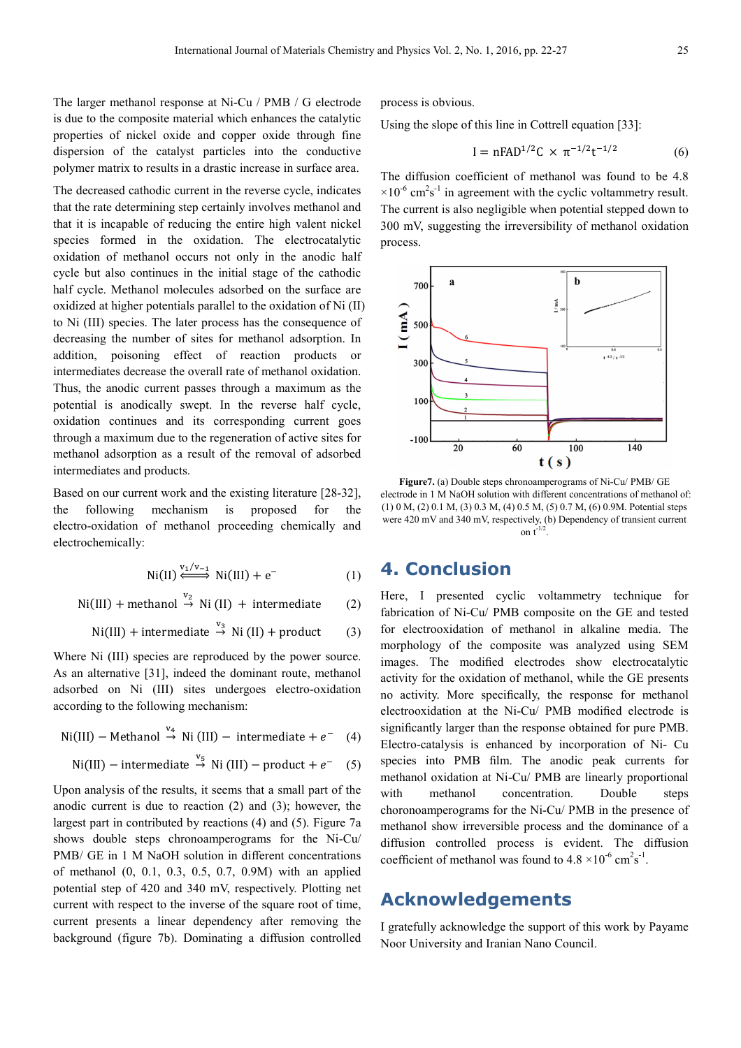The larger methanol response at Ni-Cu / PMB / G electrode is due to the composite material which enhances the catalytic properties of nickel oxide and copper oxide through fine dispersion of the catalyst particles into the conductive polymer matrix to results in a drastic increase in surface area.

The decreased cathodic current in the reverse cycle, indicates that the rate determining step certainly involves methanol and that it is incapable of reducing the entire high valent nickel species formed in the oxidation. The electrocatalytic oxidation of methanol occurs not only in the anodic half cycle but also continues in the initial stage of the cathodic half cycle. Methanol molecules adsorbed on the surface are oxidized at higher potentials parallel to the oxidation of Ni (II) to Ni (III) species. The later process has the consequence of decreasing the number of sites for methanol adsorption. In addition, poisoning effect of reaction products or intermediates decrease the overall rate of methanol oxidation. Thus, the anodic current passes through a maximum as the potential is anodically swept. In the reverse half cycle, oxidation continues and its corresponding current goes through a maximum due to the regeneration of active sites for methanol adsorption as a result of the removal of adsorbed intermediates and products.

Based on our current work and the existing literature [28-32], the following mechanism is proposed for the electro-oxidation of methanol proceeding chemically and electrochemically:

$$
Ni(II) \xleftrightarrow{\text{V}_1/\text{V}_{-1}} Ni(III) + e^-
$$
 (1)

 $Ni(III) + methanol \stackrel{v_2}{\rightarrow} Ni(II) + intermediate$  (2)

$$
Ni(III)
$$
 + intermediate  $\stackrel{v_3}{\rightarrow}$  Ni (II) + product (3)

Where Ni (III) species are reproduced by the power source. As an alternative [31], indeed the dominant route, methanol adsorbed on Ni (III) sites undergoes electro-oxidation according to the following mechanism:

$$
\text{Ni(III)} - \text{Method of } \stackrel{\text{v}_4}{\rightarrow} \text{Ni(III)} - \text{intermediate} + e^- \quad (4)
$$

$$
Ni(III) - intermediate \stackrel{v_5}{\rightarrow} Ni(III) - product + e^{-} (5)
$$

Upon analysis of the results, it seems that a small part of the anodic current is due to reaction (2) and (3); however, the largest part in contributed by reactions (4) and (5). Figure 7a shows double steps chronoamperograms for the Ni-Cu/ PMB/ GE in 1 M NaOH solution in different concentrations of methanol (0, 0.1, 0.3, 0.5, 0.7, 0.9M) with an applied potential step of 420 and 340 mV, respectively. Plotting net current with respect to the inverse of the square root of time, current presents a linear dependency after removing the background (figure 7b). Dominating a diffusion controlled process is obvious.

Using the slope of this line in Cottrell equation [33]:

$$
I = nFAD^{1/2}C \times \pi^{-1/2}t^{-1/2}
$$
 (6)

The diffusion coefficient of methanol was found to be 4.8  $\times 10^{-6}$  cm<sup>2</sup>s<sup>-1</sup> in agreement with the cyclic voltammetry result. The current is also negligible when potential stepped down to 300 mV, suggesting the irreversibility of methanol oxidation process.



**Figure7.** (a) Double steps chronoamperograms of Ni-Cu/ PMB/ GE electrode in 1 M NaOH solution with different concentrations of methanol of: (1) 0 M, (2) 0.1 M, (3) 0.3 M, (4) 0.5 M, (5) 0.7 M, (6) 0.9M. Potential steps were 420 mV and 340 mV, respectively, (b) Dependency of transient current on  $t^{-1/2}$ .

### **4. Conclusion**

Here, I presented cyclic voltammetry technique for fabrication of Ni-Cu/ PMB composite on the GE and tested for electrooxidation of methanol in alkaline media. The morphology of the composite was analyzed using SEM images. The modified electrodes show electrocatalytic activity for the oxidation of methanol, while the GE presents no activity. More specifically, the response for methanol electrooxidation at the Ni-Cu/ PMB modified electrode is significantly larger than the response obtained for pure PMB. Electro-catalysis is enhanced by incorporation of Ni- Cu species into PMB film. The anodic peak currents for methanol oxidation at Ni-Cu/ PMB are linearly proportional with methanol concentration. Double steps choronoamperograms for the Ni-Cu/ PMB in the presence of methanol show irreversible process and the dominance of a diffusion controlled process is evident. The diffusion coefficient of methanol was found to  $4.8 \times 10^{-6}$  cm<sup>2</sup>s<sup>-1</sup>.

### **Acknowledgements**

I gratefully acknowledge the support of this work by Payame Noor University and Iranian Nano Council.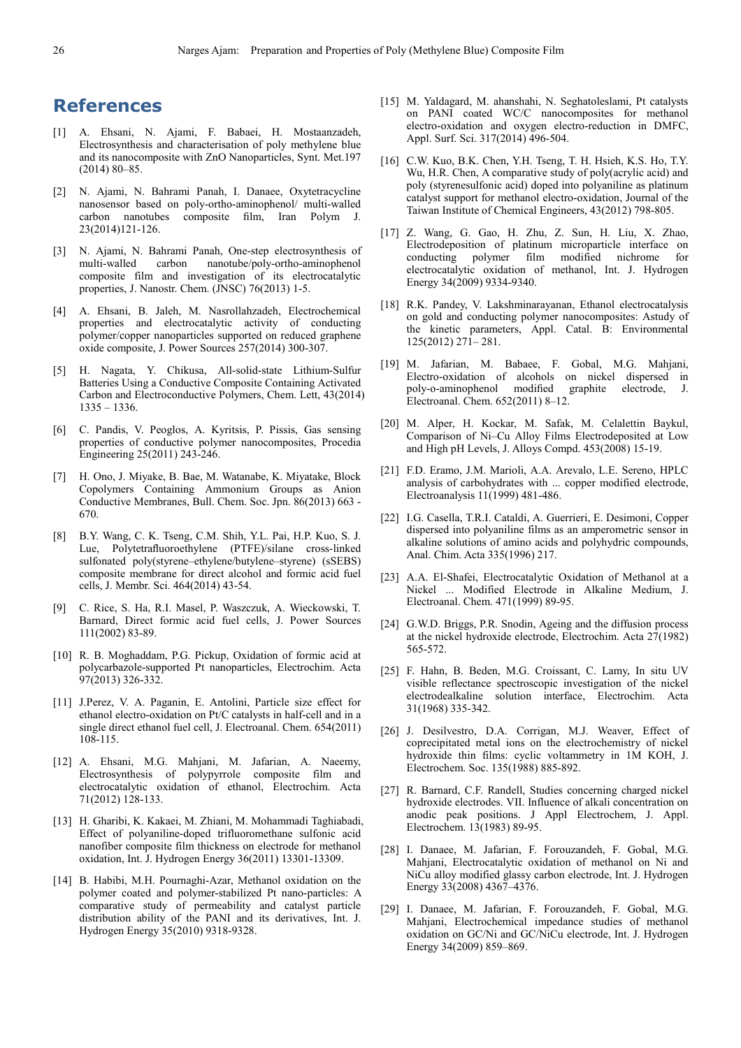## **References**

- [1] A. Ehsani, N. Ajami, F. Babaei, H. Mostaanzadeh, Electrosynthesis and characterisation of poly methylene blue and its nanocomposite with ZnO Nanoparticles, Synt. Met.197 (2014) 80–85.
- [2] N. Ajami, N. Bahrami Panah, I. Danaee, Oxytetracycline nanosensor based on poly-ortho-aminophenol/ multi-walled carbon nanotubes composite film, Iran Polym J. 23(2014)121-126.
- [3] N. Ajami, N. Bahrami Panah, One-step electrosynthesis of  $carbon$  nanotube/poly-ortho-aminophenol composite film and investigation of its electrocatalytic properties, J. Nanostr. Chem. (JNSC) 76(2013) 1-5.
- [4] A. Ehsani, B. Jaleh, M. Nasrollahzadeh, Electrochemical properties and electrocatalytic activity of conducting polymer/copper nanoparticles supported on reduced graphene oxide composite, J. Power Sources 257(2014) 300-307.
- [5] H. Nagata, Y. Chikusa, All-solid-state Lithium-Sulfur Batteries Using a Conductive Composite Containing Activated Carbon and Electroconductive Polymers, Chem. Lett, 43(2014) 1335 – 1336.
- [6] C. Pandis, V. Peoglos, A. Kyritsis, P. Pissis, Gas sensing properties of conductive polymer nanocomposites, Procedia Engineering 25(2011) 243-246.
- [7] H. Ono, J. Miyake, B. Bae, M. Watanabe, K. Miyatake, Block Copolymers Containing Ammonium Groups as Anion Conductive Membranes, Bull. Chem. Soc. Jpn. 86(2013) 663 - 670.
- [8] B.Y. Wang, C. K. Tseng, C.M. Shih, Y.L. Pai, H.P. Kuo, S. J. Lue, Polytetrafluoroethylene (PTFE)/silane cross-linked sulfonated poly(styrene–ethylene/butylene–styrene) (sSEBS) composite membrane for direct alcohol and formic acid fuel cells, J. Membr. Sci. 464(2014) 43-54.
- [9] C. Rice, S. Ha, R.I. Masel, P. Waszczuk, A. Wieckowski, T. Barnard, Direct formic acid fuel cells, J. Power Sources 111(2002) 83-89.
- [10] R. B. Moghaddam, P.G. Pickup, Oxidation of formic acid at polycarbazole-supported Pt nanoparticles, Electrochim. Acta 97(2013) 326-332.
- [11] J.Perez, V. A. Paganin, E. Antolini, Particle size effect for ethanol electro-oxidation on Pt/C catalysts in half-cell and in a single direct ethanol fuel cell, J. Electroanal. Chem. 654(2011) 108-115.
- [12] A. Ehsani, M.G. Mahjani, M. Jafarian, A. Naeemy, Electrosynthesis of polypyrrole composite film and electrocatalytic oxidation of ethanol, Electrochim. Acta 71(2012) 128-133.
- [13] H. Gharibi, K. Kakaei, M. Zhiani, M. Mohammadi Taghiabadi, Effect of polyaniline-doped trifluoromethane sulfonic acid nanofiber composite film thickness on electrode for methanol oxidation, Int. J. Hydrogen Energy 36(2011) 13301-13309.
- [14] B. Habibi, M.H. Pournaghi-Azar, Methanol oxidation on the polymer coated and polymer-stabilized Pt nano-particles: A comparative study of permeability and catalyst particle distribution ability of the PANI and its derivatives, Int. J. Hydrogen Energy 35(2010) 9318-9328.
- [15] M. Yaldagard, M. ahanshahi, N. Seghatoleslami, Pt catalysts on PANI coated WC/C nanocomposites for methanol electro-oxidation and oxygen electro-reduction in DMFC, Appl. Surf. Sci. 317(2014) 496-504.
- [16] C.W. Kuo, B.K. Chen, Y.H. Tseng, T. H. Hsieh, K.S. Ho, T.Y. Wu, H.R. Chen, A comparative study of poly(acrylic acid) and poly (styrenesulfonic acid) doped into polyaniline as platinum catalyst support for methanol electro-oxidation, Journal of the Taiwan Institute of Chemical Engineers, 43(2012) 798-805.
- [17] Z. Wang, G. Gao, H. Zhu, Z. Sun, H. Liu, X. Zhao, Electrodeposition of platinum microparticle interface on conducting polymer film modified nichrome for electrocatalytic oxidation of methanol, Int. J. Hydrogen Energy 34(2009) 9334-9340.
- [18] R.K. Pandey, V. Lakshminarayanan, Ethanol electrocatalysis on gold and conducting polymer nanocomposites: Astudy of the kinetic parameters, Appl. Catal. B: Environmental 125(2012) 271– 281.
- [19] M. Jafarian, M. Babaee, F. Gobal, M.G. Mahjani, Electro-oxidation of alcohols on nickel dispersed in poly-o-aminophenol modified Electroanal. Chem. 652(2011) 8–12.
- [20] M. Alper, H. Kockar, M. Safak, M. Celalettin Baykul, Comparison of Ni–Cu Alloy Films Electrodeposited at Low and High pH Levels, J. Alloys Compd. 453(2008) 15-19.
- [21] F.D. Eramo, J.M. Marioli, A.A. Arevalo, L.E. Sereno, HPLC analysis of carbohydrates with ... copper modified electrode, Electroanalysis 11(1999) 481-486.
- [22] I.G. Casella, T.R.I. Cataldi, A. Guerrieri, E. Desimoni, Copper dispersed into polyaniline films as an amperometric sensor in alkaline solutions of amino acids and polyhydric compounds, Anal. Chim. Acta 335(1996) 217.
- [23] A.A. El-Shafei, Electrocatalytic Oxidation of Methanol at a Nickel ... Modified Electrode in Alkaline Medium, J. Electroanal. Chem. 471(1999) 89-95.
- [24] G.W.D. Briggs, P.R. Snodin, Ageing and the diffusion process at the nickel hydroxide electrode, Electrochim. Acta  $27(1982)$ 565-572.
- [25] F. Hahn, B. Beden, M.G. Croissant, C. Lamy, In situ UV visible reflectance spectroscopic investigation of the nickel electrodealkaline solution interface, Electrochim. Acta 31(1968) 335-342.
- [26] J. Desilvestro, D.A. Corrigan, M.J. Weaver, Effect of coprecipitated metal ions on the electrochemistry of nickel hydroxide thin films: cyclic voltammetry in 1M KOH, J. Electrochem. Soc. 135(1988) 885-892.
- [27] R. Barnard, C.F. Randell, Studies concerning charged nickel hydroxide electrodes. VII. Influence of alkali concentration on anodic peak positions. J Appl Electrochem, J. Appl. Electrochem. 13(1983) 89-95.
- [28] I. Danaee, M. Jafarian, F. Forouzandeh, F. Gobal, M.G. Mahjani, Electrocatalytic oxidation of methanol on Ni and NiCu alloy modified glassy carbon electrode, Int. J. Hydrogen Energy 33(2008) 4367–4376.
- [29] I. Danaee, M. Jafarian, F. Forouzandeh, F. Gobal, M.G. Mahjani, Electrochemical impedance studies of methanol oxidation on GC/Ni and GC/NiCu electrode, Int. J. Hydrogen Energy 34(2009) 859–869.